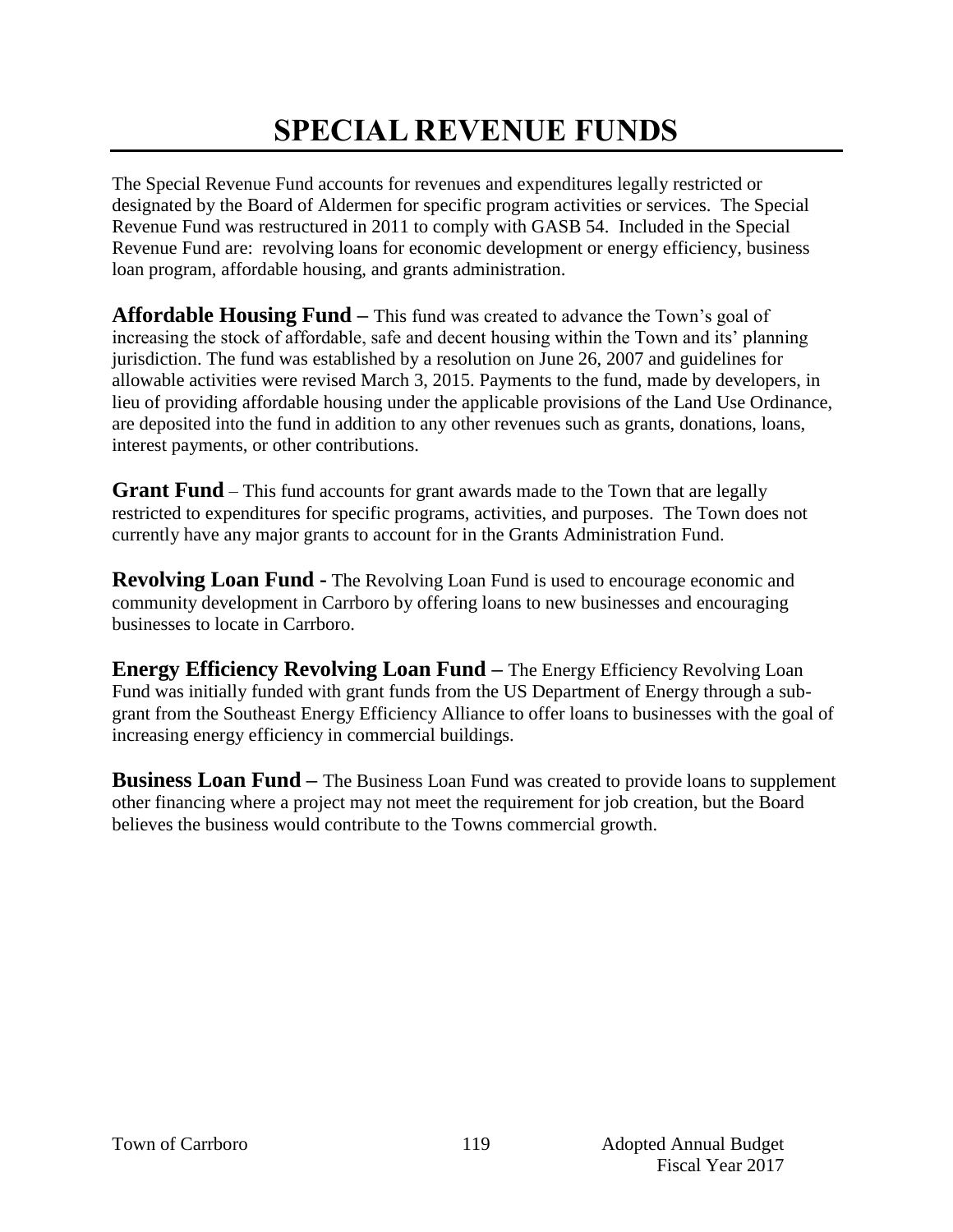# **SPECIAL REVENUE FUNDS**

The Special Revenue Fund accounts for revenues and expenditures legally restricted or designated by the Board of Aldermen for specific program activities or services. The Special Revenue Fund was restructured in 2011 to comply with GASB 54. Included in the Special Revenue Fund are: revolving loans for economic development or energy efficiency, business loan program, affordable housing, and grants administration.

**Affordable Housing Fund –** This fund was created to advance the Town's goal of increasing the stock of affordable, safe and decent housing within the Town and its' planning jurisdiction. The fund was established by a resolution on June 26, 2007 and guidelines for allowable activities were revised March 3, 2015. Payments to the fund, made by developers, in lieu of providing affordable housing under the applicable provisions of the Land Use Ordinance, are deposited into the fund in addition to any other revenues such as grants, donations, loans, interest payments, or other contributions.

**Grant Fund** – This fund accounts for grant awards made to the Town that are legally restricted to expenditures for specific programs, activities, and purposes. The Town does not currently have any major grants to account for in the Grants Administration Fund.

**Revolving Loan Fund -** The Revolving Loan Fund is used to encourage economic and community development in Carrboro by offering loans to new businesses and encouraging businesses to locate in Carrboro.

**Energy Efficiency Revolving Loan Fund –** The Energy Efficiency Revolving Loan Fund was initially funded with grant funds from the US Department of Energy through a subgrant from the Southeast Energy Efficiency Alliance to offer loans to businesses with the goal of increasing energy efficiency in commercial buildings.

**Business Loan Fund** – The Business Loan Fund was created to provide loans to supplement other financing where a project may not meet the requirement for job creation, but the Board believes the business would contribute to the Towns commercial growth.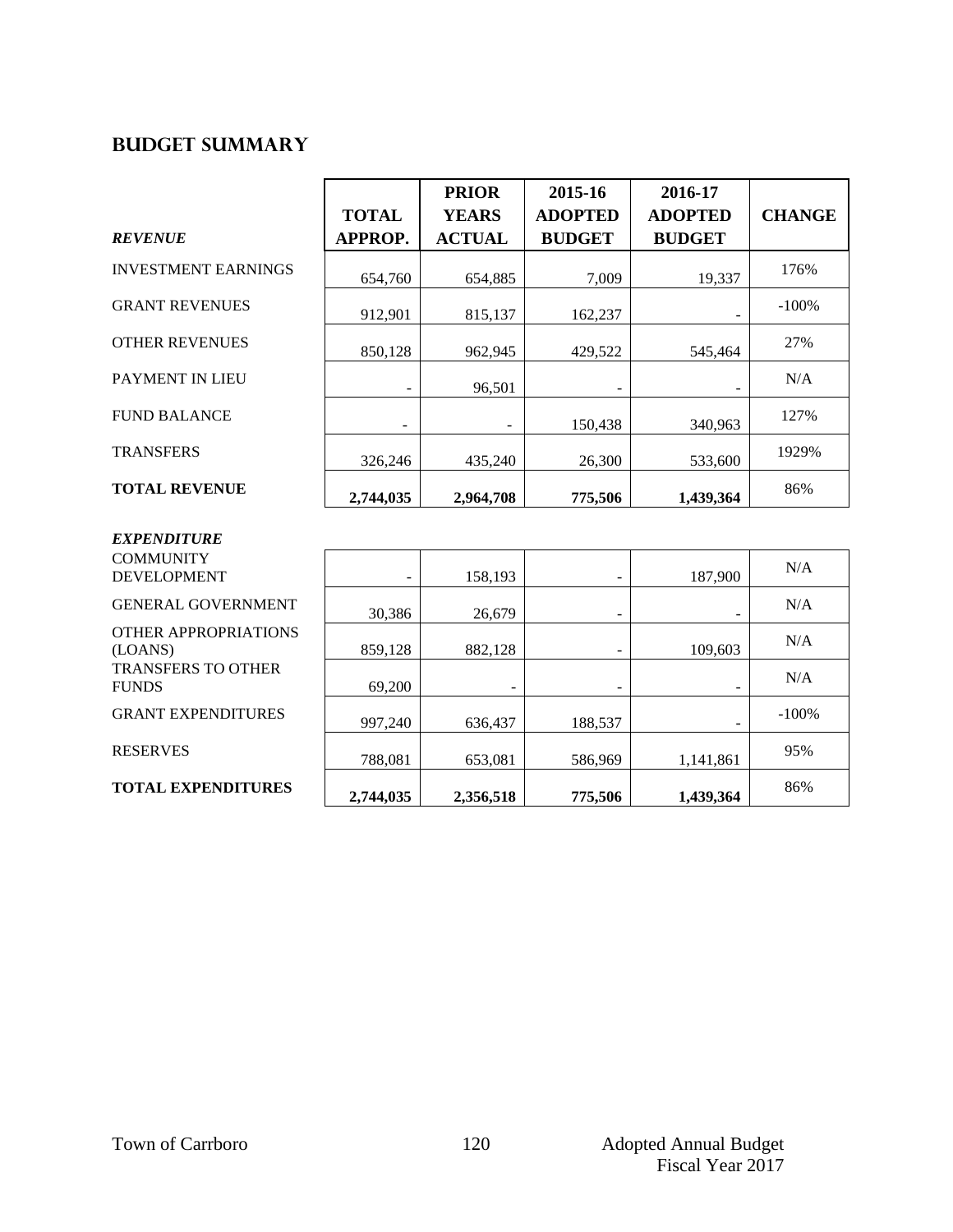## **Budget summary**

|                                        |              | <b>PRIOR</b>  | 2015-16        | 2016-17        |               |
|----------------------------------------|--------------|---------------|----------------|----------------|---------------|
|                                        | <b>TOTAL</b> | <b>YEARS</b>  | <b>ADOPTED</b> | <b>ADOPTED</b> | <b>CHANGE</b> |
| <b>REVENUE</b>                         | APPROP.      | <b>ACTUAL</b> | <b>BUDGET</b>  | <b>BUDGET</b>  |               |
| <b>INVESTMENT EARNINGS</b>             | 654,760      | 654,885       | 7,009          | 19,337         | 176%          |
| <b>GRANT REVENUES</b>                  | 912,901      | 815,137       | 162,237        |                | $-100%$       |
| <b>OTHER REVENUES</b>                  | 850,128      | 962,945       | 429,522        | 545,464        | 27%           |
| <b>PAYMENT IN LIEU</b>                 | ۰            | 96,501        |                |                | N/A           |
| <b>FUND BALANCE</b>                    |              | -             | 150,438        | 340,963        | 127%          |
| <b>TRANSFERS</b>                       | 326,246      | 435,240       | 26,300         | 533,600        | 1929%         |
| <b>TOTAL REVENUE</b>                   | 2,744,035    | 2,964,708     | 775,506        | 1,439,364      | 86%           |
| <b>EXPENDITURE</b>                     |              |               |                |                |               |
| <b>COMMUNITY</b><br><b>DEVELOPMENT</b> | -            | 158,193       |                | 187,900        | N/A           |
| <b>GENERAL GOVERNMENT</b>              | 20.205       | 25.570        |                |                | N/A           |

OTHER APPROPRIATI (LOANS) TRANSFERS TO OTHE **FUNDS** 

**GRANT EXPENDITUR** 

RESERVES

**TOTAL EXPENDITURES** 

| <b>RES</b>  | 2,744,035 | 2,356,518 | 775,506 | 1,439,364                | 86%     |
|-------------|-----------|-----------|---------|--------------------------|---------|
|             | 788,081   | 653,081   | 586,969 | 1,141,861                | 95%     |
| ES          | 997,240   | 636,437   | 188,537 | $\overline{\phantom{0}}$ | $-100%$ |
| ΞR          | 69,200    | -         | -       | $\overline{\phantom{0}}$ | N/A     |
| <b>IONS</b> | 859,128   | 882,128   | -       | 109,603                  | N/A     |
| <b>ENT</b>  | 30,386    | 26,679    | -       | $\qquad \qquad$          | N/A     |
|             | -         | 158,193   | -       | 187,900                  | N/A     |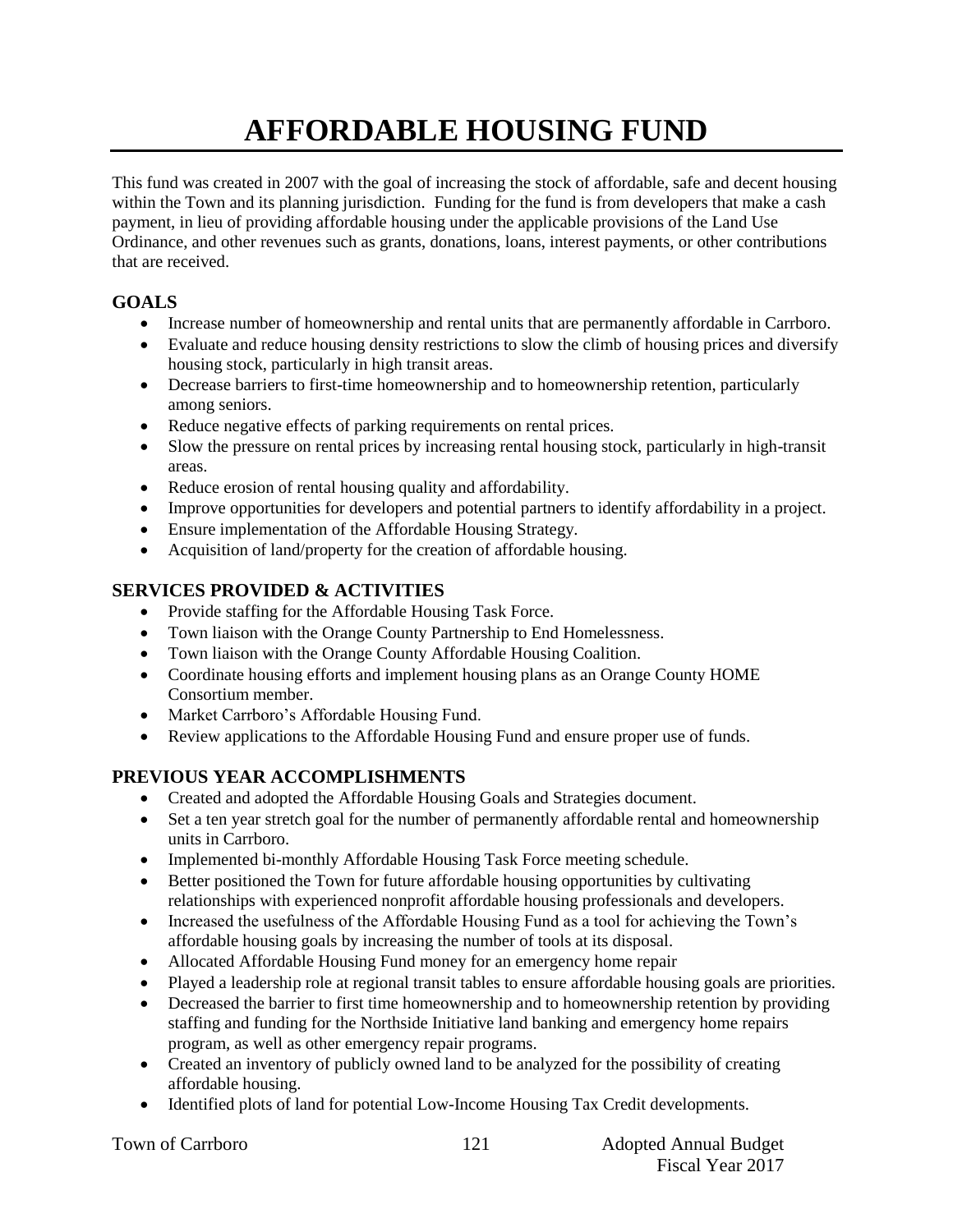# **AFFORDABLE HOUSING FUND**

This fund was created in 2007 with the goal of increasing the stock of affordable, safe and decent housing within the Town and its planning jurisdiction. Funding for the fund is from developers that make a cash payment, in lieu of providing affordable housing under the applicable provisions of the Land Use Ordinance, and other revenues such as grants, donations, loans, interest payments, or other contributions that are received.

## **GOALS**

- Increase number of homeownership and rental units that are permanently affordable in Carrboro.
- Evaluate and reduce housing density restrictions to slow the climb of housing prices and diversify housing stock, particularly in high transit areas.
- Decrease barriers to first-time homeownership and to homeownership retention, particularly among seniors.
- Reduce negative effects of parking requirements on rental prices.
- Slow the pressure on rental prices by increasing rental housing stock, particularly in high-transit areas.
- Reduce erosion of rental housing quality and affordability.
- Improve opportunities for developers and potential partners to identify affordability in a project.
- Ensure implementation of the Affordable Housing Strategy.
- Acquisition of land/property for the creation of affordable housing.

### **SERVICES PROVIDED & ACTIVITIES**

- Provide staffing for the Affordable Housing Task Force.
- Town liaison with the Orange County Partnership to End Homelessness.
- Town liaison with the Orange County Affordable Housing Coalition.
- Coordinate housing efforts and implement housing plans as an Orange County HOME Consortium member.
- Market Carrboro's Affordable Housing Fund.
- Review applications to the Affordable Housing Fund and ensure proper use of funds.

### **PREVIOUS YEAR ACCOMPLISHMENTS**

- Created and adopted the Affordable Housing Goals and Strategies document.
- Set a ten year stretch goal for the number of permanently affordable rental and homeownership units in Carrboro.
- Implemented bi-monthly Affordable Housing Task Force meeting schedule.
- Better positioned the Town for future affordable housing opportunities by cultivating relationships with experienced nonprofit affordable housing professionals and developers.
- Increased the usefulness of the Affordable Housing Fund as a tool for achieving the Town's affordable housing goals by increasing the number of tools at its disposal.
- Allocated Affordable Housing Fund money for an emergency home repair
- Played a leadership role at regional transit tables to ensure affordable housing goals are priorities.
- Decreased the barrier to first time homeownership and to homeownership retention by providing staffing and funding for the Northside Initiative land banking and emergency home repairs program, as well as other emergency repair programs.
- Created an inventory of publicly owned land to be analyzed for the possibility of creating affordable housing.
- Identified plots of land for potential Low-Income Housing Tax Credit developments.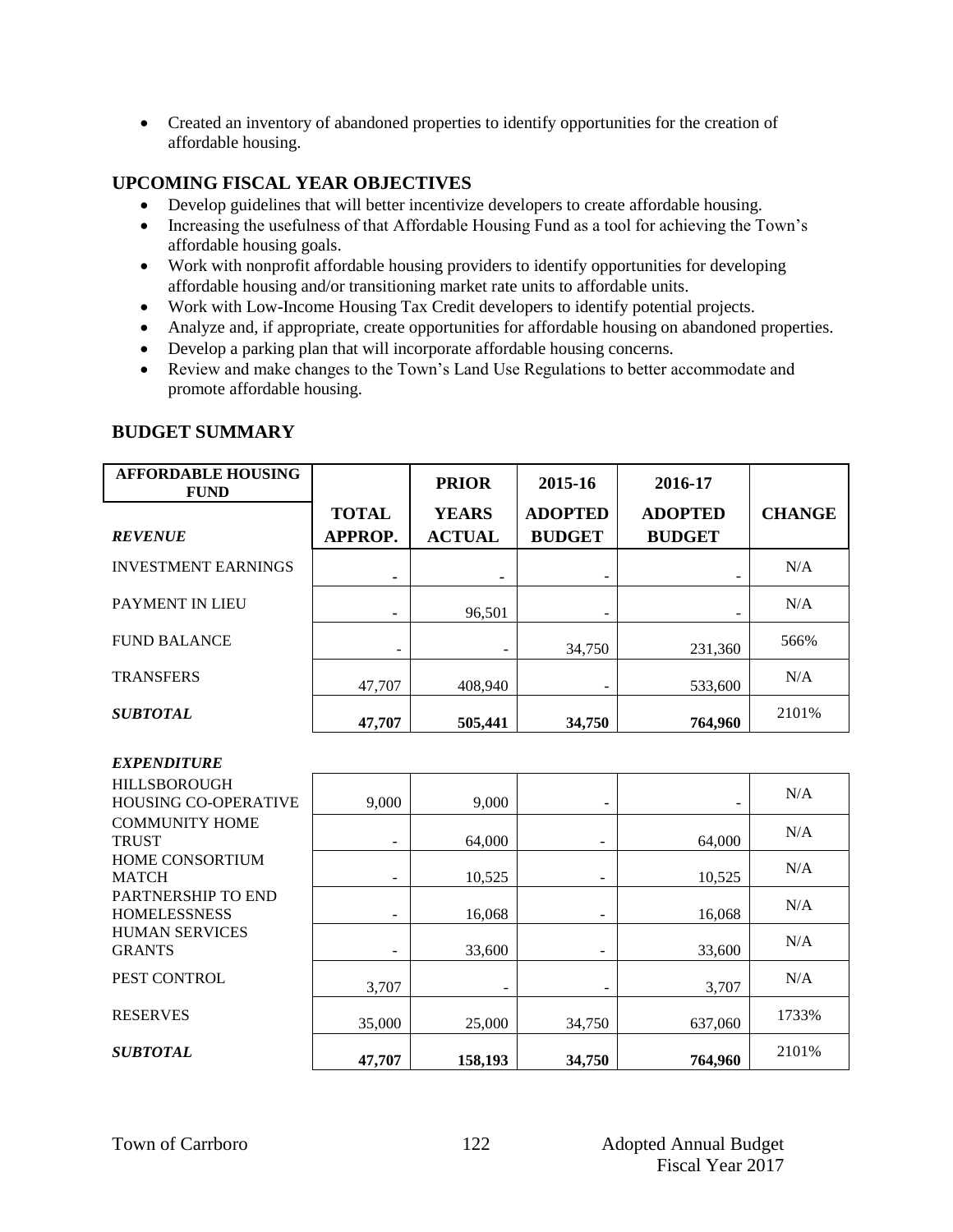Created an inventory of abandoned properties to identify opportunities for the creation of affordable housing.

### **UPCOMING FISCAL YEAR OBJECTIVES**

- Develop guidelines that will better incentivize developers to create affordable housing.
- Increasing the usefulness of that Affordable Housing Fund as a tool for achieving the Town's affordable housing goals.
- Work with nonprofit affordable housing providers to identify opportunities for developing affordable housing and/or transitioning market rate units to affordable units.
- Work with Low-Income Housing Tax Credit developers to identify potential projects.
- Analyze and, if appropriate, create opportunities for affordable housing on abandoned properties.
- Develop a parking plan that will incorporate affordable housing concerns.
- Review and make changes to the Town's Land Use Regulations to better accommodate and promote affordable housing.

#### **BUDGET SUMMARY**

| <b>AFFORDABLE HOUSING</b><br><b>FUND</b> |                                | <b>PRIOR</b>                  | 2015-16                         | 2016-17                         |               |
|------------------------------------------|--------------------------------|-------------------------------|---------------------------------|---------------------------------|---------------|
| <b>REVENUE</b>                           | <b>TOTAL</b><br><b>APPROP.</b> | <b>YEARS</b><br><b>ACTUAL</b> | <b>ADOPTED</b><br><b>BUDGET</b> | <b>ADOPTED</b><br><b>BUDGET</b> | <b>CHANGE</b> |
| <b>INVESTMENT EARNINGS</b>               | ۰                              |                               | ۰                               |                                 | N/A           |
| <b>PAYMENT IN LIEU</b>                   |                                | 96,501                        |                                 |                                 | N/A           |
| <b>FUND BALANCE</b>                      |                                |                               | 34,750                          | 231.360                         | 566%          |
| <b>TRANSFERS</b>                         | 47,707                         | 408,940                       | ۰                               | 533,600                         | N/A           |
| <b>SUBTOTAL</b>                          | 47,707                         | 505,441                       | 34,750                          | 764,960                         | 2101%         |

#### *EXPENDITURE*

| <b>HILLSBOROUGH</b><br><b>HOUSING CO-OPERATIVE</b> | 9,000  | 9,000   | ۰      |         | N/A   |
|----------------------------------------------------|--------|---------|--------|---------|-------|
| <b>COMMUNITY HOME</b><br><b>TRUST</b>              |        | 64,000  |        | 64,000  | N/A   |
| HOME CONSORTIUM<br><b>MATCH</b>                    |        | 10,525  |        | 10,525  | N/A   |
| PARTNERSHIP TO END<br><b>HOMELESSNESS</b>          |        | 16,068  |        | 16,068  | N/A   |
| <b>HUMAN SERVICES</b><br><b>GRANTS</b>             |        | 33,600  |        | 33,600  | N/A   |
| PEST CONTROL                                       | 3,707  | -       | ۰      | 3,707   | N/A   |
| <b>RESERVES</b>                                    | 35,000 | 25,000  | 34,750 | 637.060 | 1733% |
| <b>SUBTOTAL</b>                                    | 47,707 | 158,193 | 34,750 | 764,960 | 2101% |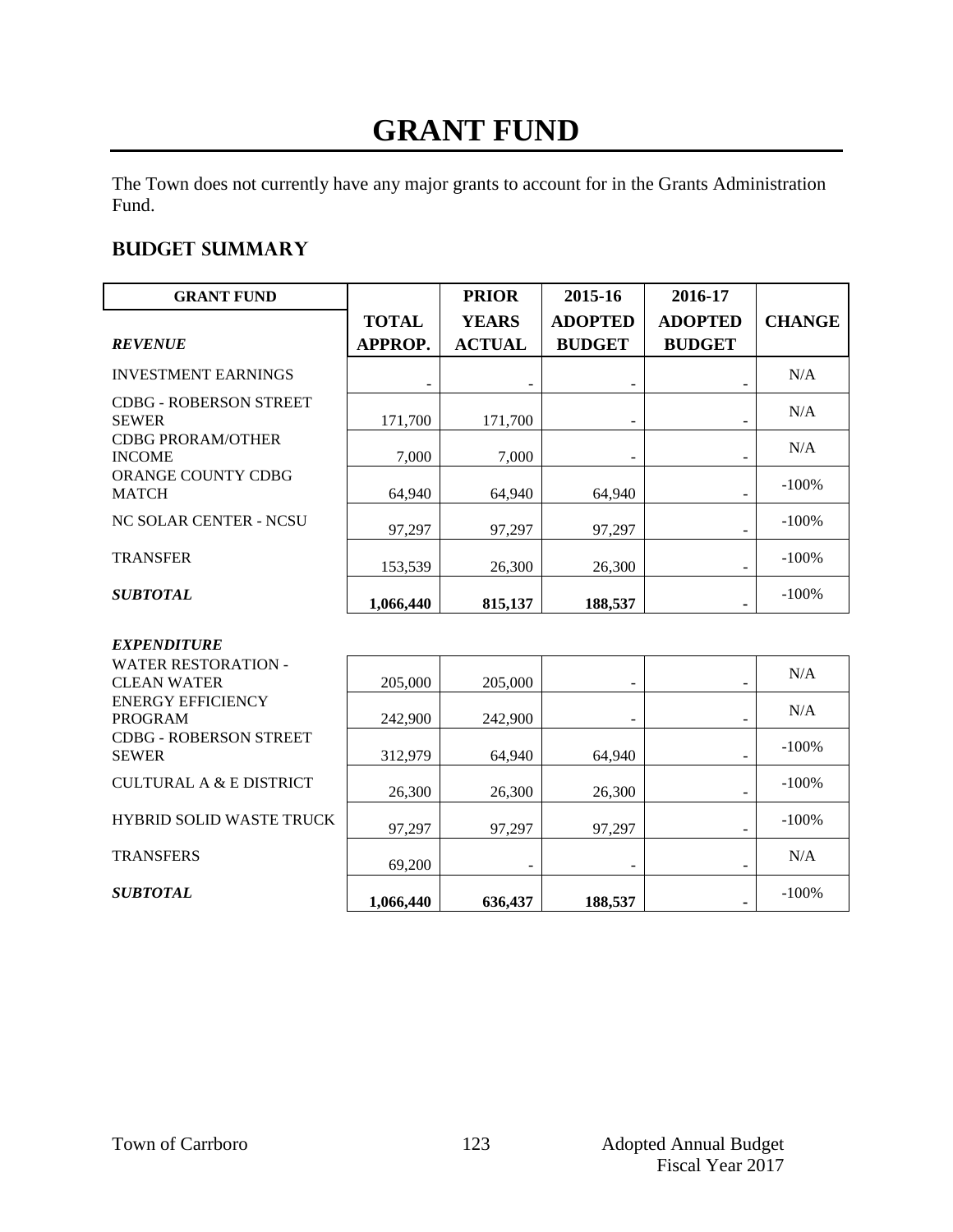## **GRANT FUND**

The Town does not currently have any major grants to account for in the Grants Administration Fund.

### **Budget summary**

| <b>GRANT FUND</b>                                |                | <b>PRIOR</b>  | 2015-16        | 2016-17                  |               |
|--------------------------------------------------|----------------|---------------|----------------|--------------------------|---------------|
|                                                  | <b>TOTAL</b>   | <b>YEARS</b>  | <b>ADOPTED</b> | <b>ADOPTED</b>           | <b>CHANGE</b> |
| <b>REVENUE</b>                                   | <b>APPROP.</b> | <b>ACTUAL</b> | <b>BUDGET</b>  | <b>BUDGET</b>            |               |
| <b>INVESTMENT EARNINGS</b>                       |                |               |                |                          | N/A           |
| <b>CDBG - ROBERSON STREET</b><br><b>SEWER</b>    | 171,700        | 171,700       |                |                          | N/A           |
| <b>CDBG PRORAM/OTHER</b><br><b>INCOME</b>        | 7,000          | 7,000         |                |                          | N/A           |
| ORANGE COUNTY CDBG<br><b>MATCH</b>               | 64,940         | 64,940        | 64,940         | ۰                        | $-100%$       |
| NC SOLAR CENTER - NCSU                           | 97,297         | 97,297        | 97,297         | -                        | $-100%$       |
| <b>TRANSFER</b>                                  | 153,539        | 26,300        | 26,300         |                          | $-100%$       |
| <b>SUBTOTAL</b>                                  | 1,066,440      | 815,137       | 188,537        |                          | $-100%$       |
| <b>EXPENDITURE</b>                               |                |               |                |                          |               |
| <b>WATER RESTORATION -</b><br><b>CLEAN WATER</b> | 205,000        | 205,000       |                |                          | N/A           |
| <b>ENERGY EFFICIENCY</b><br><b>PROGRAM</b>       | 242,900        | 242,900       |                |                          | N/A           |
| <b>CDBG - ROBERSON STREET</b><br><b>SEWER</b>    | 312,979        | 64,940        | 64.940         | -                        | $-100%$       |
| CULTURAL A & E DISTRICT                          | 26,300         | 26,300        | 26,300         | $\overline{\phantom{a}}$ | $-100%$       |

97,297

**636,437** 

-

97,297

69,200

**1,066,440** 

HYBRID SOLID WASTE TRUCK

**TRANSFERS** 

*SUBTOTAL*

97,297

**188,537** 

-

-

-

**-** 

-100%

N/A

-100%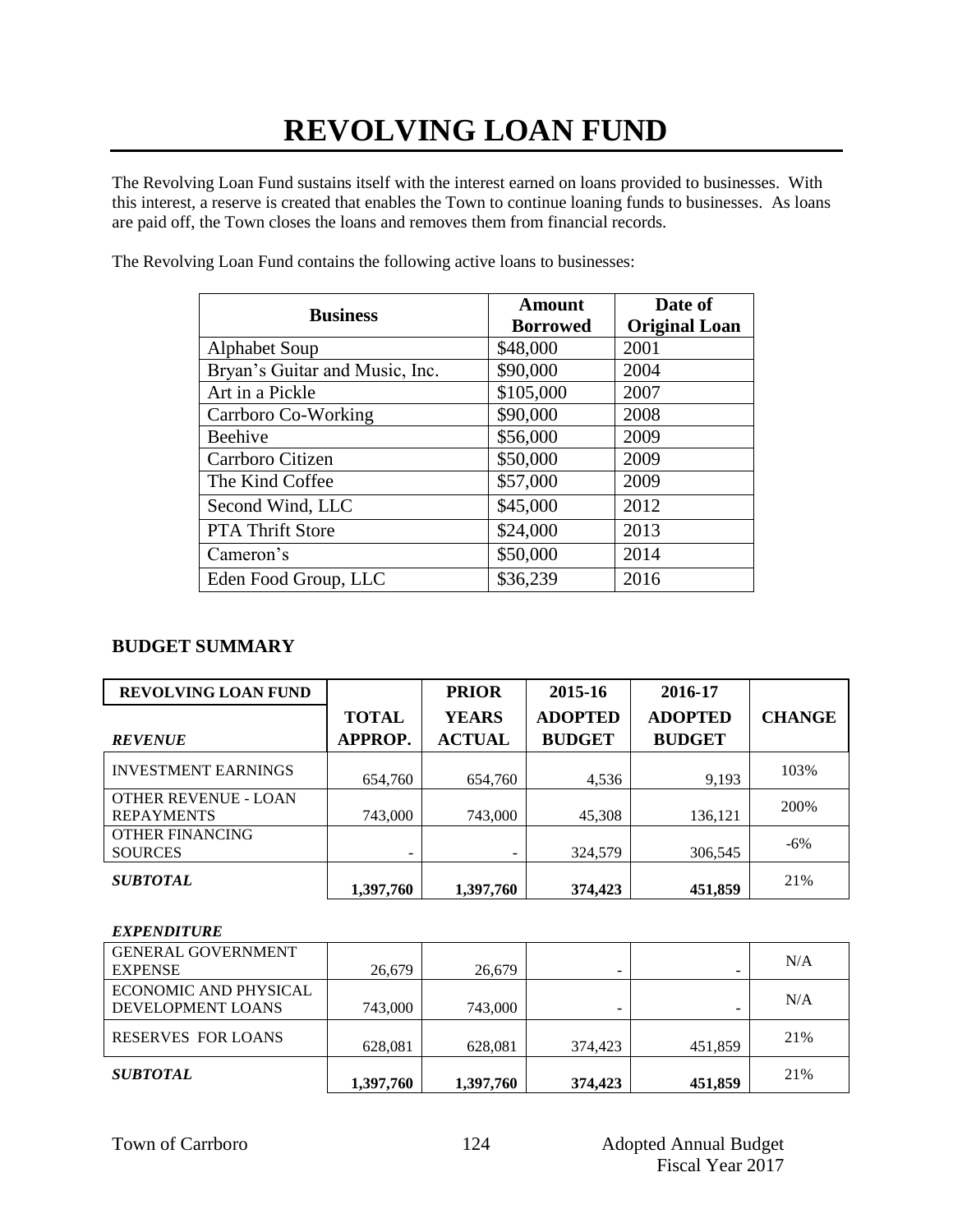# **REVOLVING LOAN FUND**

The Revolving Loan Fund sustains itself with the interest earned on loans provided to businesses. With this interest, a reserve is created that enables the Town to continue loaning funds to businesses. As loans are paid off, the Town closes the loans and removes them from financial records.

| <b>Business</b>                | Amount<br><b>Borrowed</b> | Date of<br><b>Original Loan</b> |
|--------------------------------|---------------------------|---------------------------------|
| <b>Alphabet Soup</b>           | \$48,000                  | 2001                            |
| Bryan's Guitar and Music, Inc. | \$90,000                  | 2004                            |
| Art in a Pickle                | \$105,000                 | 2007                            |
| Carrboro Co-Working            | \$90,000                  | 2008                            |
| Beehive                        | \$56,000                  | 2009                            |
| Carrboro Citizen               | \$50,000                  | 2009                            |
| The Kind Coffee                | \$57,000                  | 2009                            |
| Second Wind, LLC               | \$45,000                  | 2012                            |
| <b>PTA Thrift Store</b>        | \$24,000                  | 2013                            |
| Cameron's                      | \$50,000                  | 2014                            |
| Eden Food Group, LLC           | \$36,239                  | 2016                            |

The Revolving Loan Fund contains the following active loans to businesses:

### **BUDGET SUMMARY**

| <b>REVOLVING LOAN FUND</b>                |              | <b>PRIOR</b>  | 2015-16        | 2016-17        |               |
|-------------------------------------------|--------------|---------------|----------------|----------------|---------------|
|                                           | <b>TOTAL</b> | <b>YEARS</b>  | <b>ADOPTED</b> | <b>ADOPTED</b> | <b>CHANGE</b> |
| <b>REVENUE</b>                            | APPROP.      | <b>ACTUAL</b> | <b>BUDGET</b>  | <b>BUDGET</b>  |               |
| <b>INVESTMENT EARNINGS</b>                | 654,760      | 654,760       | 4,536          | 9,193          | 103%          |
| OTHER REVENUE - LOAN<br><b>REPAYMENTS</b> | 743,000      | 743,000       | 45,308         | 136,121        | 200%          |
| <b>OTHER FINANCING</b><br><b>SOURCES</b>  |              | ۰             | 324,579        | 306,545        | $-6%$         |
| <b>SUBTOTAL</b>                           | 1,397,760    | 1,397,760     | 374,423        | 451,859        | 21%           |

#### *EXPENDITURE*

| <b>GENERAL GOVERNMENT</b> |           |           |                          |         | N/A |
|---------------------------|-----------|-----------|--------------------------|---------|-----|
| <b>EXPENSE</b>            | 26.679    | 26,679    | $\overline{\phantom{0}}$ |         |     |
| ECONOMIC AND PHYSICAL     |           |           |                          |         | N/A |
| DEVELOPMENT LOANS         | 743,000   | 743,000   |                          |         |     |
| <b>RESERVES FOR LOANS</b> |           |           |                          |         | 21% |
|                           | 628,081   | 628,081   | 374,423                  | 451,859 |     |
| <b>SUBTOTAL</b>           |           |           |                          |         | 21% |
|                           | 1.397.760 | 1,397,760 | 374,423                  | 451.859 |     |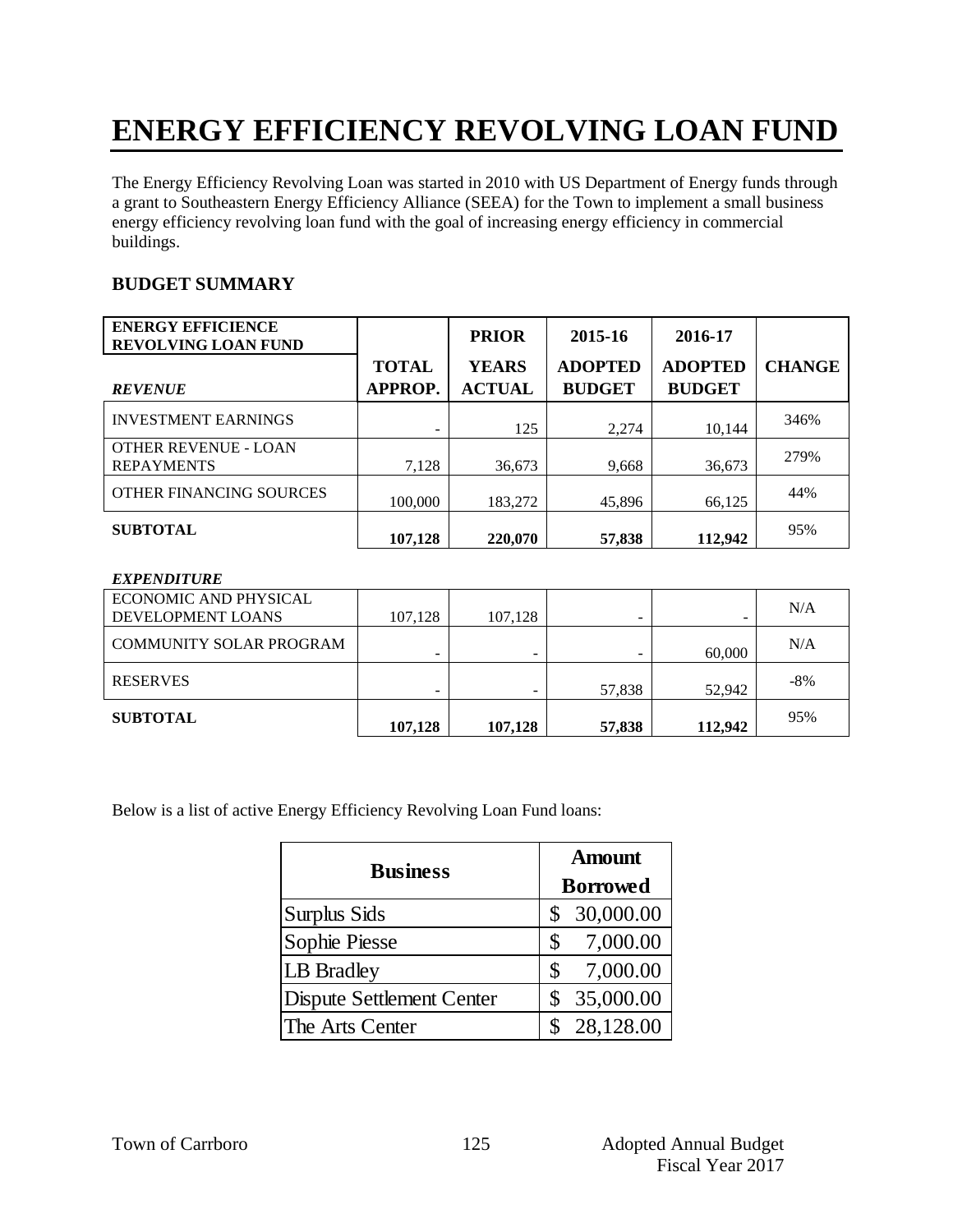# **ENERGY EFFICIENCY REVOLVING LOAN FUND**

The Energy Efficiency Revolving Loan was started in 2010 with US Department of Energy funds through a grant to Southeastern Energy Efficiency Alliance (SEEA) for the Town to implement a small business energy efficiency revolving loan fund with the goal of increasing energy efficiency in commercial buildings.

#### **BUDGET SUMMARY**

| <b>ENERGY EFFICIENCE</b><br><b>REVOLVING LOAN FUND</b> |                         | <b>PRIOR</b>                  | 2015-16                         | 2016-17                         |               |
|--------------------------------------------------------|-------------------------|-------------------------------|---------------------------------|---------------------------------|---------------|
| <b>REVENUE</b>                                         | <b>TOTAL</b><br>APPROP. | <b>YEARS</b><br><b>ACTUAL</b> | <b>ADOPTED</b><br><b>BUDGET</b> | <b>ADOPTED</b><br><b>BUDGET</b> | <b>CHANGE</b> |
| <b>INVESTMENT EARNINGS</b>                             |                         | 125                           | 2,274                           | 10,144                          | 346%          |
| OTHER REVENUE - LOAN<br><b>REPAYMENTS</b>              | 7,128                   | 36,673                        | 9,668                           | 36,673                          | 279%          |
| <b>OTHER FINANCING SOURCES</b>                         | 100,000                 | 183,272                       | 45,896                          | 66,125                          | 44%           |
| <b>SUBTOTAL</b>                                        | 107,128                 | 220,070                       | 57,838                          | 112,942                         | 95%           |

#### *EXPENDITURE*

| ECONOMIC AND PHYSICAL<br>DEVELOPMENT LOANS | 107,128 | 107,128 |        |         | N/A   |
|--------------------------------------------|---------|---------|--------|---------|-------|
| <b>COMMUNITY SOLAR PROGRAM</b>             |         | -       |        | 60,000  | N/A   |
| <b>RESERVES</b>                            |         |         | 57,838 | 52,942  | $-8%$ |
| <b>SUBTOTAL</b>                            | 107,128 | 107,128 | 57,838 | 112,942 | 95%   |

Below is a list of active Energy Efficiency Revolving Loan Fund loans:

| <b>Business</b>           | <b>Amount</b>   |  |  |
|---------------------------|-----------------|--|--|
|                           | <b>Borrowed</b> |  |  |
| Surplus Sids              | 30,000.00<br>\$ |  |  |
| Sophie Piesse             | 7,000.00        |  |  |
| LB Bradley                | 7,000.00        |  |  |
| Dispute Settlement Center | 35,000.00       |  |  |
| The Arts Center           | 28,128.00       |  |  |